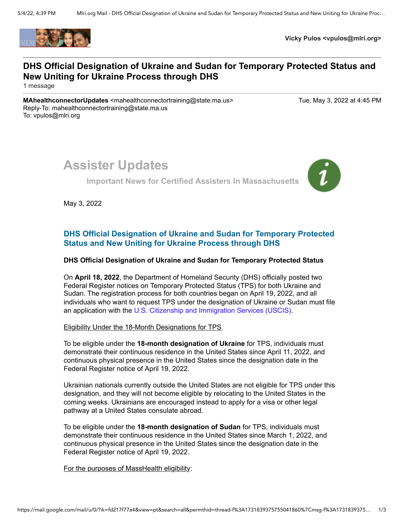

**Vicky Pulos <vpulos@mlri.org>**

## **DHS Official Designation of Ukraine and Sudan for Temporary Protected Status and New Uniting for Ukraine Process through DHS**

1 message

**MAhealthconnectorUpdates** <mahealthconnectortraining@state.ma.us> Tue, May 3, 2022 at 4:45 PM Reply-To: mahealthconnectortraining@state.ma.us To: vpulos@mlri.org

# **Assister Updates**

**Important News for Certified Assisters In Massachusetts**



May 3, 2022

### **DHS Official Designation of Ukraine and Sudan for Temporary Protected Status and New Uniting for Ukraine Process through DHS**

#### **DHS Official Designation of Ukraine and Sudan for Temporary Protected Status**

On **April 18, 2022**, the Department of Homeland Security (DHS) officially posted two Federal Register notices on Temporary Protected Status (TPS) for both Ukraine and Sudan. The registration process for both countries began on April 19, 2022, and all individuals who want to request TPS under the designation of Ukraine or Sudan must file an application with the [U.S. Citizenship and Immigration Services \(USCIS\).](https://r20.rs6.net/tn.jsp?f=001hMR8GypHCgw5_aR_n0b0PLbUj9e9DctS0SEvaDfHy_dOccWVNtm5_CNQM2RCbCjyU6GMPIpHt3Kk0eqCwVJ5uar5RY-fn_mnK-M0d1wSlQfPcNHc2b-OKlQ5MWJd8oNpyhfiaBP7MFs=&c=hOtToKyx-qZWS_RQaO7z_owm3kLrM68nFQwJc-pZhWKy6C9ZOTUJkA==&ch=RrA1wpd4zlmIsMm-hmx049GJWovsDoSxiL0yjtJOo3Ez83vDdhSOpA==)

#### Eligibility Under the 18-Month Designations for TPS

To be eligible under the **18-month designation of Ukraine** for TPS, individuals must demonstrate their continuous residence in the United States since April 11, 2022, and continuous physical presence in the United States since the designation date in the Federal Register notice of April 19, 2022.

Ukrainian nationals currently outside the United States are not eligible for TPS under this designation, and they will not become eligible by relocating to the United States in the coming weeks. Ukrainians are encouraged instead to apply for a visa or other legal pathway at a United States consulate abroad.

To be eligible under the **18-month designation of Sudan** for TPS, individuals must demonstrate their continuous residence in the United States since March 1, 2022, and continuous physical presence in the United States since the designation date in the Federal Register notice of April 19, 2022.

For the purposes of MassHealth eligibility: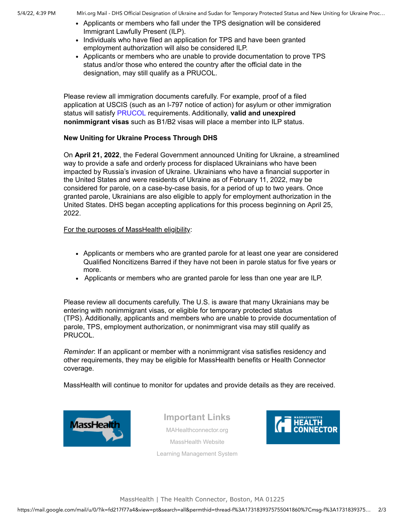- Applicants or members who fall under the TPS designation will be considered Immigrant Lawfully Present (ILP).
- Individuals who have filed an application for TPS and have been granted employment authorization will also be considered ILP.
- Applicants or members who are unable to provide documentation to prove TPS status and/or those who entered the country after the official date in the designation, may still qualify as a PRUCOL.

Please review all immigration documents carefully. For example, proof of a filed application at USCIS (such as an I-797 notice of action) for asylum or other immigration status will satisfy [PRUCOL](https://r20.rs6.net/tn.jsp?f=001hMR8GypHCgw5_aR_n0b0PLbUj9e9DctS0SEvaDfHy_dOccWVNtm5_Gzejs3_1KNPrqqs2AVdOdbXSXBMVeMBcQMdqwOtcGrUc8tKfK0K5FjQiEFalEVNSTQX3MBwRnm7xwkUV-9YVL5cJJNy9jLm0KmO-PqYkZ728ONKRFFgMTDUlBnHZoGlGK8AypBorZGFnLDVIHHlQqsPbXpI0tovEj7sS0xClSKc&c=hOtToKyx-qZWS_RQaO7z_owm3kLrM68nFQwJc-pZhWKy6C9ZOTUJkA==&ch=RrA1wpd4zlmIsMm-hmx049GJWovsDoSxiL0yjtJOo3Ez83vDdhSOpA==) requirements. Additionally, **valid and unexpired nonimmigrant visas** such as B1/B2 visas will place a member into ILP status.

#### **New Uniting for Ukraine Process Through DHS**

On **April 21, 2022**, the Federal Government announced Uniting for Ukraine, a streamlined way to provide a safe and orderly process for displaced Ukrainians who have been impacted by Russia's invasion of Ukraine. Ukrainians who have a financial supporter in the United States and were residents of Ukraine as of February 11, 2022, may be considered for parole, on a case-by-case basis, for a period of up to two years. Once granted parole, Ukrainians are also eligible to apply for employment authorization in the United States. DHS began accepting applications for this process beginning on April 25, 2022.

For the purposes of MassHealth eligibility:

- Applicants or members who are granted parole for at least one year are considered Qualified Noncitizens Barred if they have not been in parole status for five years or more.
- Applicants or members who are granted parole for less than one year are ILP.

Please review all documents carefully. The U.S. is aware that many Ukrainians may be entering with nonimmigrant visas, or eligible for temporary protected status (TPS). Additionally, applicants and members who are unable to provide documentation of parole, TPS, employment authorization, or nonimmigrant visa may still qualify as PRUCOL.

*Reminder*: If an applicant or member with a nonimmigrant visa satisfies residency and other requirements, they may be eligible for MassHealth benefits or Health Connector coverage.

MassHealth will continue to monitor for updates and provide details as they are received.



**Important Links** [MAHealthconnector.org](https://r20.rs6.net/tn.jsp?f=001hMR8GypHCgw5_aR_n0b0PLbUj9e9DctS0SEvaDfHy_dOccWVNtm5_CReoSzTmGsmdl3-90uspg-sXZ99LWL_qsVOiRX9fzHt8_me1YNrGo64HL5DrhNtvAQ-QqR7XVAWUc71Nilojh3vmJR80li5Kwl3xa33aGiB&c=hOtToKyx-qZWS_RQaO7z_owm3kLrM68nFQwJc-pZhWKy6C9ZOTUJkA==&ch=RrA1wpd4zlmIsMm-hmx049GJWovsDoSxiL0yjtJOo3Ez83vDdhSOpA==) [MassHealth Website](https://r20.rs6.net/tn.jsp?f=001hMR8GypHCgw5_aR_n0b0PLbUj9e9DctS0SEvaDfHy_dOccWVNtm5_A5w0yVt6ZzzYn1ZDvdQnP1SbbP6T1UOLYTJ_BE6rXVAW7E28ffdTrws3lTVthjMxcLEjz6hdMVPtMJ5YnOF8q3NxuenSF8pqeeen9iG12RHacMym3gmA1Y=&c=hOtToKyx-qZWS_RQaO7z_owm3kLrM68nFQwJc-pZhWKy6C9ZOTUJkA==&ch=RrA1wpd4zlmIsMm-hmx049GJWovsDoSxiL0yjtJOo3Ez83vDdhSOpA==) [Learning Management System](https://r20.rs6.net/tn.jsp?f=001hMR8GypHCgw5_aR_n0b0PLbUj9e9DctS0SEvaDfHy_dOccWVNtm5_NvIa4oR8QiJEOm3TPO51-98o2Ps2CwOIOpNQNx0aNm8n84nvRrAMXIHr1BfICxbwGOY_L_PGr_NJ8zgE9WV7l3nzenb6vU6wZ6Tx168TeNvQifbdY8NE5i8nbqMSByxyA==&c=hOtToKyx-qZWS_RQaO7z_owm3kLrM68nFQwJc-pZhWKy6C9ZOTUJkA==&ch=RrA1wpd4zlmIsMm-hmx049GJWovsDoSxiL0yjtJOo3Ez83vDdhSOpA==)



MassHealth | The Health Connector, Boston, MA 01225